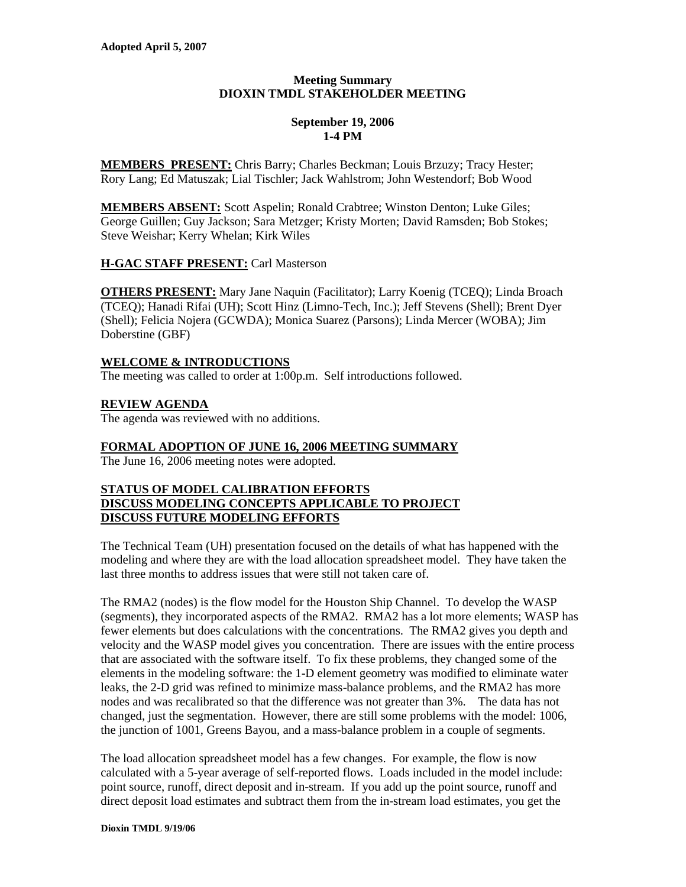# **Meeting Summary DIOXIN TMDL STAKEHOLDER MEETING**

## **September 19, 2006 1-4 PM**

**MEMBERS PRESENT:** Chris Barry; Charles Beckman; Louis Brzuzy; Tracy Hester; Rory Lang; Ed Matuszak; Lial Tischler; Jack Wahlstrom; John Westendorf; Bob Wood

**MEMBERS ABSENT:** Scott Aspelin; Ronald Crabtree; Winston Denton; Luke Giles; George Guillen; Guy Jackson; Sara Metzger; Kristy Morten; David Ramsden; Bob Stokes; Steve Weishar; Kerry Whelan; Kirk Wiles

# **H-GAC STAFF PRESENT:** Carl Masterson

**OTHERS PRESENT:** Mary Jane Naquin (Facilitator); Larry Koenig (TCEQ); Linda Broach (TCEQ); Hanadi Rifai (UH); Scott Hinz (Limno-Tech, Inc.); Jeff Stevens (Shell); Brent Dyer (Shell); Felicia Nojera (GCWDA); Monica Suarez (Parsons); Linda Mercer (WOBA); Jim Doberstine (GBF)

# **WELCOME & INTRODUCTIONS**

The meeting was called to order at 1:00p.m. Self introductions followed.

# **REVIEW AGENDA**

The agenda was reviewed with no additions.

# **FORMAL ADOPTION OF JUNE 16, 2006 MEETING SUMMARY**

The June 16, 2006 meeting notes were adopted.

## **STATUS OF MODEL CALIBRATION EFFORTS DISCUSS MODELING CONCEPTS APPLICABLE TO PROJECT DISCUSS FUTURE MODELING EFFORTS**

The Technical Team (UH) presentation focused on the details of what has happened with the modeling and where they are with the load allocation spreadsheet model. They have taken the last three months to address issues that were still not taken care of.

The RMA2 (nodes) is the flow model for the Houston Ship Channel. To develop the WASP (segments), they incorporated aspects of the RMA2. RMA2 has a lot more elements; WASP has fewer elements but does calculations with the concentrations. The RMA2 gives you depth and velocity and the WASP model gives you concentration. There are issues with the entire process that are associated with the software itself. To fix these problems, they changed some of the elements in the modeling software: the 1-D element geometry was modified to eliminate water leaks, the 2-D grid was refined to minimize mass-balance problems, and the RMA2 has more nodes and was recalibrated so that the difference was not greater than 3%. The data has not changed, just the segmentation. However, there are still some problems with the model: 1006, the junction of 1001, Greens Bayou, and a mass-balance problem in a couple of segments.

The load allocation spreadsheet model has a few changes. For example, the flow is now calculated with a 5-year average of self-reported flows. Loads included in the model include: point source, runoff, direct deposit and in-stream. If you add up the point source, runoff and direct deposit load estimates and subtract them from the in-stream load estimates, you get the